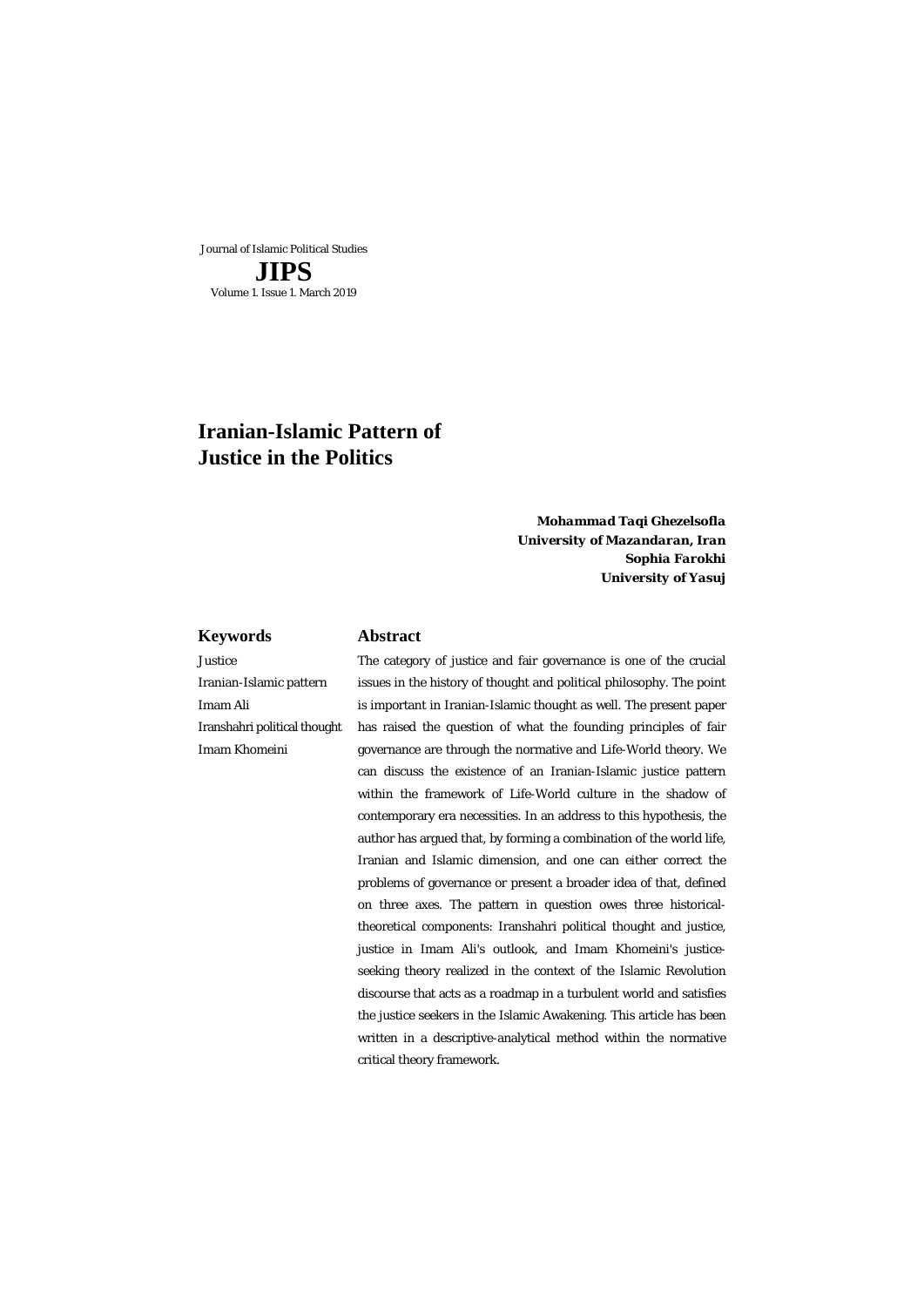Journal of Islamic Political Studies **JIPS** Volume 1. Issue 1. March 2019

# **Iranian-Islamic Pattern of Justice in the Politics**

*Mohammad Taqi Ghezelsofla* *University of Mazandaran, Iran* *Sophia Farokhi University of Yasuj*

#### **Keywords Abstract**

Justice Iranian-Islamic pattern Imam Ali Iranshahri political thought Imam Khomeini

 The category of justice and fair governance is one of the crucial issues in the history of thought and political philosophy. The point is important in Iranian-Islamic thought as well. The present paper has raised the question of what the founding principles of fair governance are through the normative and Life-World theory. We can discuss the existence of an Iranian-Islamic justice pattern within the framework of Life-World culture in the shadow of contemporary era necessities. In an address to this hypothesis, the author has argued that, by forming a combination of the world life, Iranian and Islamic dimension, and one can either correct the problems of governance or present a broader idea of that, defined on three axes. The pattern in question owes three historicaltheoretical components: Iranshahri political thought and justice, justice in Imam Ali's outlook, and Imam Khomeini's justiceseeking theory realized in the context of the Islamic Revolution discourse that acts as a roadmap in a turbulent world and satisfies the justice seekers in the Islamic Awakening. This article has been written in a descriptive-analytical method within the normative critical theory framework.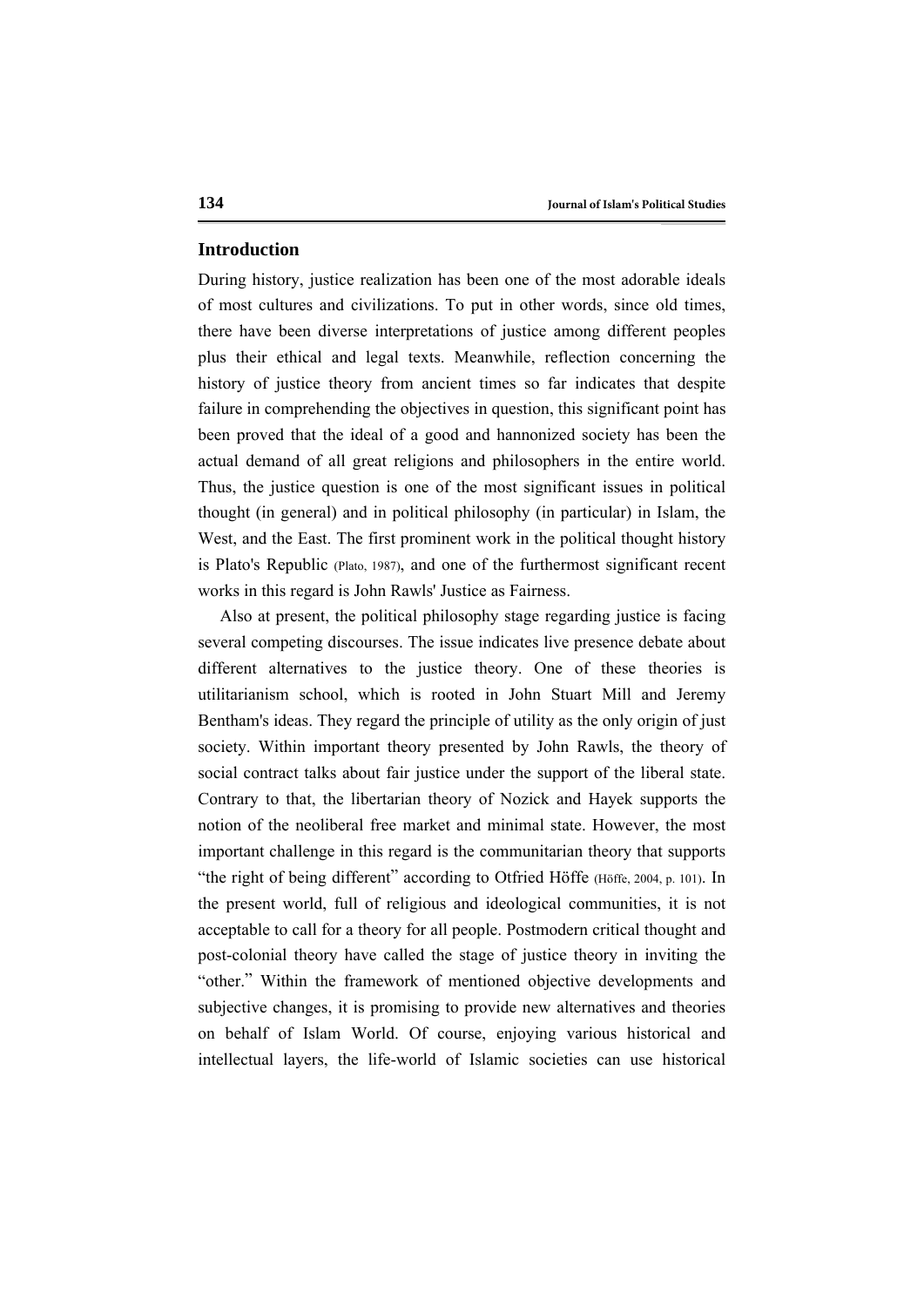## **Introduction**

During history, justice realization has been one of the most adorable ideals of most cultures and civilizations. To put in other words, since old times, there have been diverse interpretations of justice among different peoples plus their ethical and legal texts. Meanwhile, reflection concerning the history of justice theory from ancient times so far indicates that despite failure in comprehending the objectives in question, this significant point has been proved that the ideal of a good and hannonized society has been the actual demand of all great religions and philosophers in the entire world. Thus, the justice question is one of the most significant issues in political thought (in general) and in political philosophy (in particular) in Islam, the West, and the East. The first prominent work in the political thought history is Plato's Republic (Plato, 1987), and one of the furthermost significant recent works in this regard is John Rawls' Justice as Fairness.

Also at present, the political philosophy stage regarding justice is facing several competing discourses. The issue indicates live presence debate about different alternatives to the justice theory. One of these theories is utilitarianism school, which is rooted in John Stuart Mill and Jeremy Bentham's ideas. They regard the principle of utility as the only origin of just society. Within important theory presented by John Rawls, the theory of social contract talks about fair justice under the support of the liberal state. Contrary to that, the libertarian theory of Nozick and Hayek supports the notion of the neoliberal free market and minimal state. However, the most important challenge in this regard is the communitarian theory that supports "the right of being different" according to Otfried Höffe (Höffe, 2004, p. 101). In the present world, full of religious and ideological communities, it is not acceptable to call for a theory for all people. Postmodern critical thought and post-colonial theory have called the stage of justice theory in inviting the "other." Within the framework of mentioned objective developments and subjective changes, it is promising to provide new alternatives and theories on behalf of Islam World. Of course, enjoying various historical and intellectual layers, the life-world of Islamic societies can use historical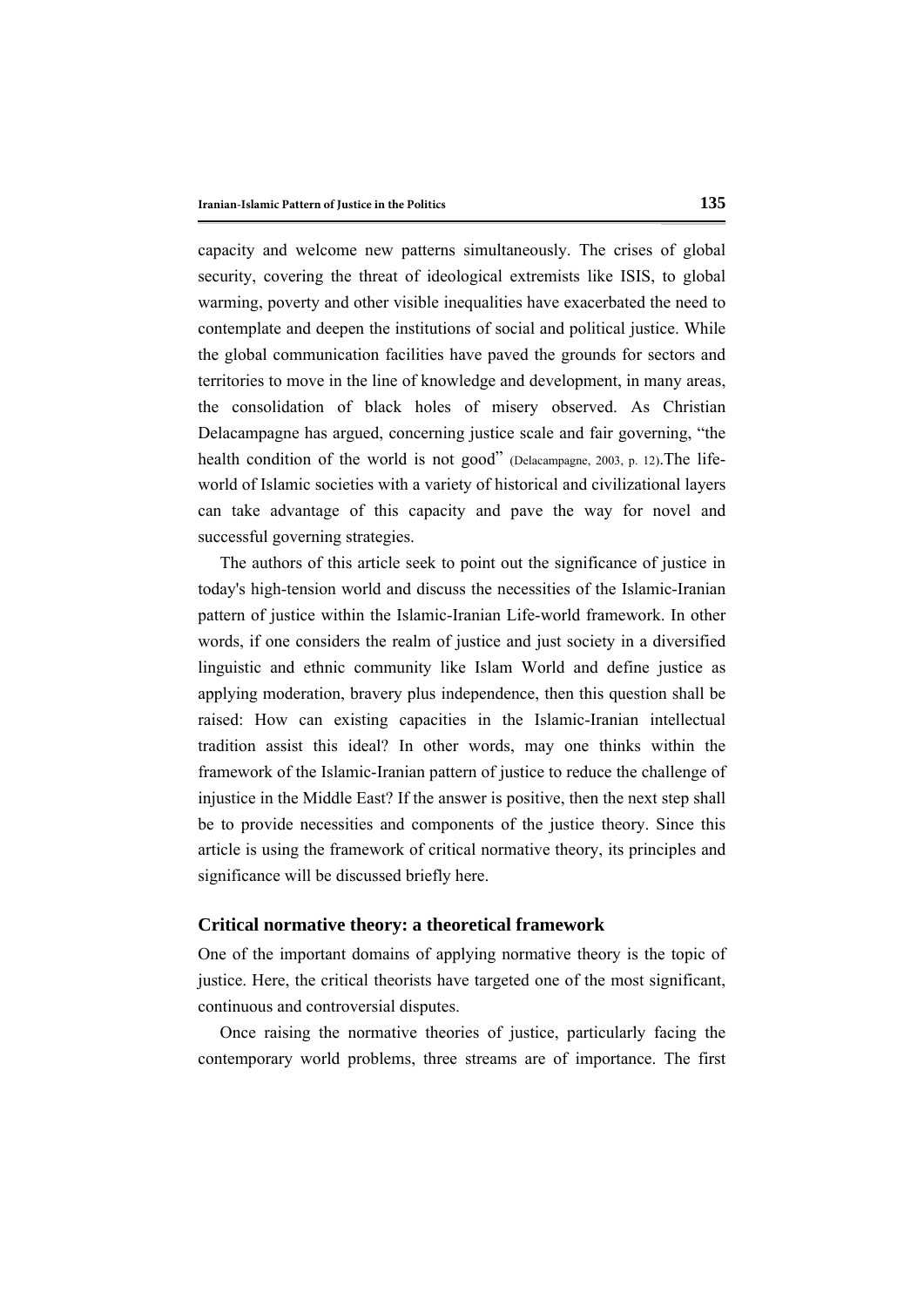capacity and welcome new patterns simultaneously. The crises of global security, covering the threat of ideological extremists like ISIS, to global warming, poverty and other visible inequalities have exacerbated the need to contemplate and deepen the institutions of social and political justice. While the global communication facilities have paved the grounds for sectors and territories to move in the line of knowledge and development, in many areas, the consolidation of black holes of misery observed. As Christian Delacampagne has argued, concerning justice scale and fair governing, "the health condition of the world is not good" (Delacampagne, 2003, p. 12).The lifeworld of Islamic societies with a variety of historical and civilizational layers can take advantage of this capacity and pave the way for novel and successful governing strategies.

The authors of this article seek to point out the significance of justice in today's high-tension world and discuss the necessities of the Islamic-Iranian pattern of justice within the Islamic-Iranian Life-world framework. In other words, if one considers the realm of justice and just society in a diversified linguistic and ethnic community like Islam World and define justice as applying moderation, bravery plus independence, then this question shall be raised: How can existing capacities in the Islamic-Iranian intellectual tradition assist this ideal? In other words, may one thinks within the framework of the Islamic-Iranian pattern of justice to reduce the challenge of injustice in the Middle East? If the answer is positive, then the next step shall be to provide necessities and components of the justice theory. Since this article is using the framework of critical normative theory, its principles and significance will be discussed briefly here.

### **Critical normative theory: a theoretical framework**

One of the important domains of applying normative theory is the topic of justice. Here, the critical theorists have targeted one of the most significant, continuous and controversial disputes.

Once raising the normative theories of justice, particularly facing the contemporary world problems, three streams are of importance. The first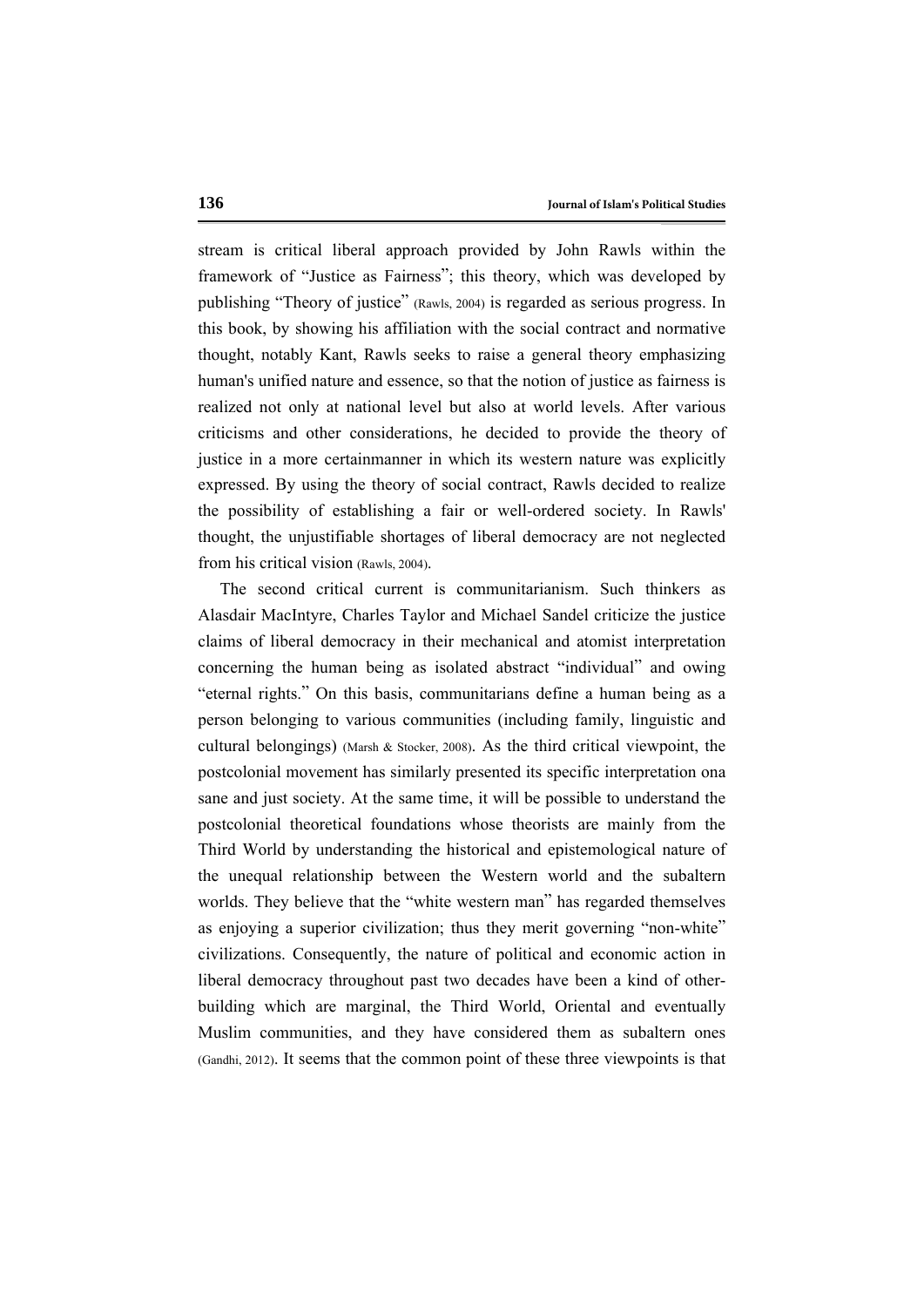stream is critical liberal approach provided by John Rawls within the framework of "Justice as Fairness"; this theory, which was developed by publishing "Theory of justice" (Rawls, 2004) is regarded as serious progress. In this book, by showing his affiliation with the social contract and normative thought, notably Kant, Rawls seeks to raise a general theory emphasizing human's unified nature and essence, so that the notion of justice as fairness is realized not only at national level but also at world levels. After various criticisms and other considerations, he decided to provide the theory of justice in a more certainmanner in which its western nature was explicitly expressed. By using the theory of social contract, Rawls decided to realize the possibility of establishing a fair or well-ordered society. In Rawls' thought, the unjustifiable shortages of liberal democracy are not neglected from his critical vision (Rawls, 2004).

The second critical current is communitarianism. Such thinkers as Alasdair MacIntyre, Charles Taylor and Michael Sandel criticize the justice claims of liberal democracy in their mechanical and atomist interpretation concerning the human being as isolated abstract "individual" and owing "eternal rights." On this basis, communitarians define a human being as a person belonging to various communities (including family, linguistic and cultural belongings) (Marsh & Stocker, 2008). As the third critical viewpoint, the postcolonial movement has similarly presented its specific interpretation ona sane and just society. At the same time, it will be possible to understand the postcolonial theoretical foundations whose theorists are mainly from the Third World by understanding the historical and epistemological nature of the unequal relationship between the Western world and the subaltern worlds. They believe that the "white western man" has regarded themselves as enjoying a superior civilization; thus they merit governing "non-white" civilizations. Consequently, the nature of political and economic action in liberal democracy throughout past two decades have been a kind of otherbuilding which are marginal, the Third World, Oriental and eventually Muslim communities, and they have considered them as subaltern ones (Gandhi, 2012). It seems that the common point of these three viewpoints is that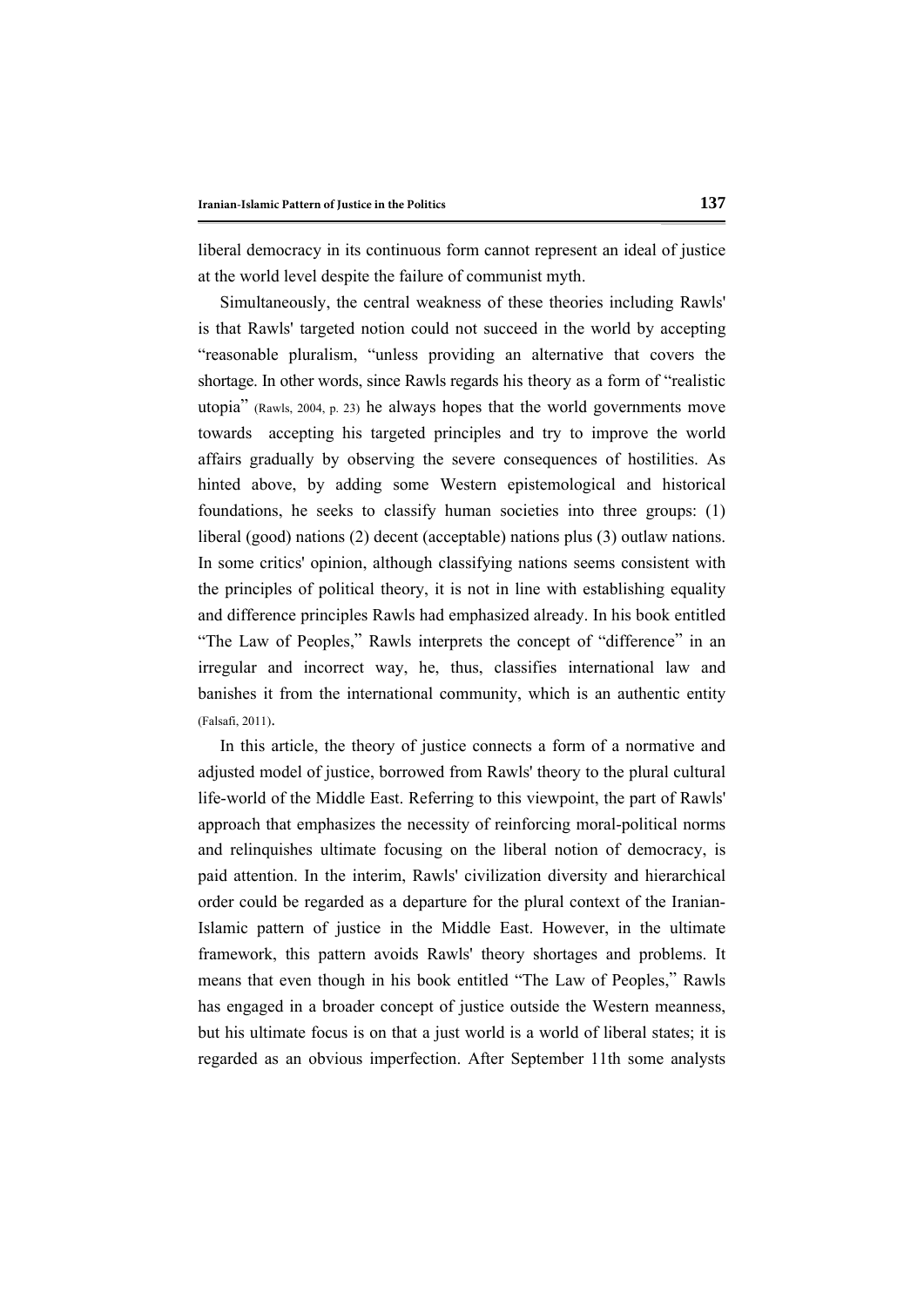liberal democracy in its continuous form cannot represent an ideal of justice at the world level despite the failure of communist myth.

Simultaneously, the central weakness of these theories including Rawls' is that Rawls' targeted notion could not succeed in the world by accepting "reasonable pluralism, "unless providing an alternative that covers the shortage. In other words, since Rawls regards his theory as a form of "realistic utopia" (Rawls, 2004, p. 23) he always hopes that the world governments move towards accepting his targeted principles and try to improve the world affairs gradually by observing the severe consequences of hostilities. As hinted above, by adding some Western epistemological and historical foundations, he seeks to classify human societies into three groups: (1) liberal (good) nations (2) decent (acceptable) nations plus (3) outlaw nations. In some critics' opinion, although classifying nations seems consistent with the principles of political theory, it is not in line with establishing equality and difference principles Rawls had emphasized already. In his book entitled "The Law of Peoples," Rawls interprets the concept of "difference" in an irregular and incorrect way, he, thus, classifies international law and banishes it from the international community, which is an authentic entity (Falsafi, 2011).

In this article, the theory of justice connects a form of a normative and adjusted model of justice, borrowed from Rawls' theory to the plural cultural life-world of the Middle East. Referring to this viewpoint, the part of Rawls' approach that emphasizes the necessity of reinforcing moral-political norms and relinquishes ultimate focusing on the liberal notion of democracy, is paid attention. In the interim, Rawls' civilization diversity and hierarchical order could be regarded as a departure for the plural context of the Iranian-Islamic pattern of justice in the Middle East. However, in the ultimate framework, this pattern avoids Rawls' theory shortages and problems. It means that even though in his book entitled "The Law of Peoples," Rawls has engaged in a broader concept of justice outside the Western meanness, but his ultimate focus is on that a just world is a world of liberal states; it is regarded as an obvious imperfection. After September 11th some analysts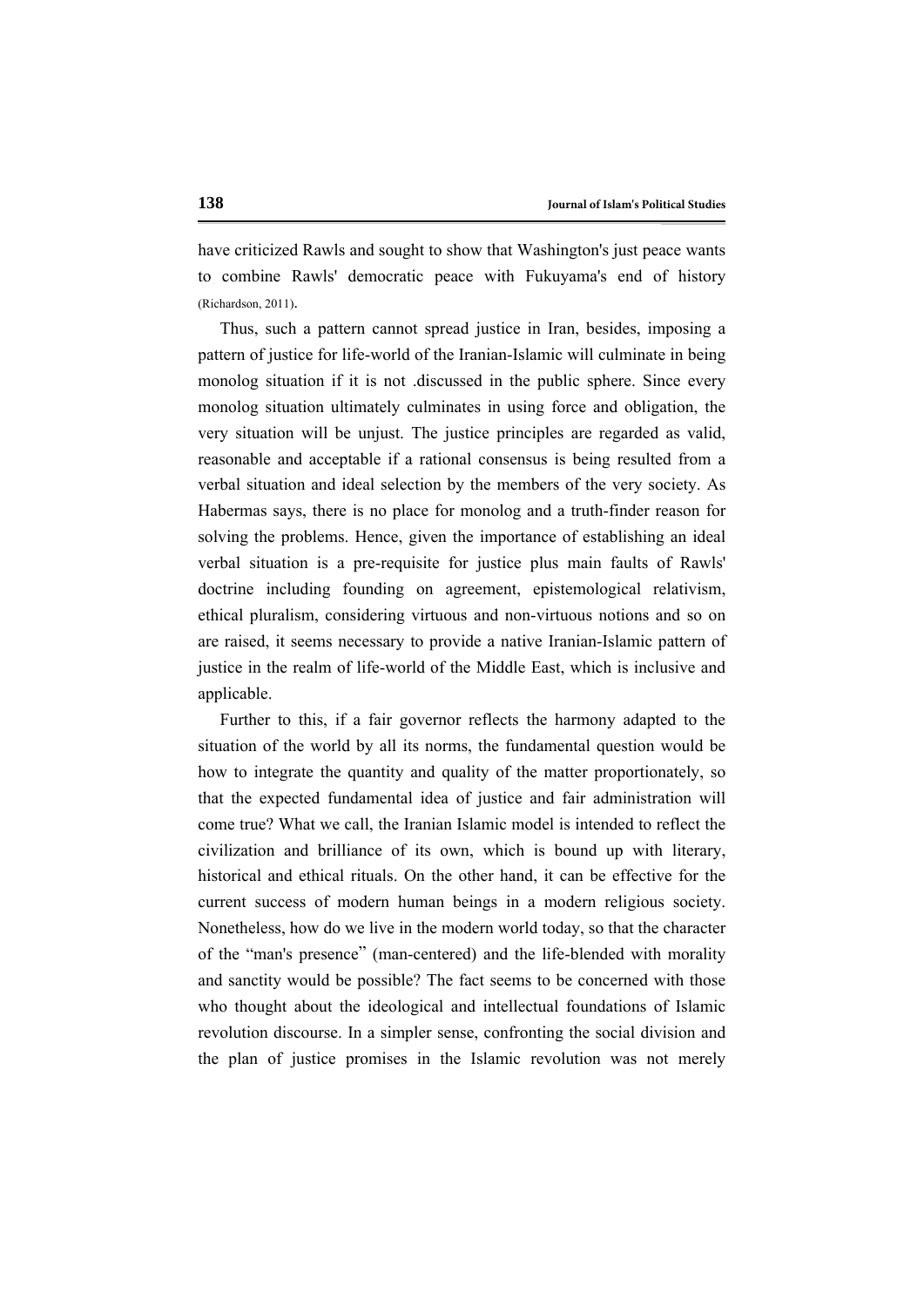have criticized Rawls and sought to show that Washington's just peace wants to combine Rawls' democratic peace with Fukuyama's end of history (Richardson, 2011).

Thus, such a pattern cannot spread justice in Iran, besides, imposing a pattern of justice for life-world of the Iranian-Islamic will culminate in being monolog situation if it is not .discussed in the public sphere. Since every monolog situation ultimately culminates in using force and obligation, the very situation will be unjust. The justice principles are regarded as valid, reasonable and acceptable if a rational consensus is being resulted from a verbal situation and ideal selection by the members of the very society. As Habermas says, there is no place for monolog and a truth-finder reason for solving the problems. Hence, given the importance of establishing an ideal verbal situation is a pre-requisite for justice plus main faults of Rawls' doctrine including founding on agreement, epistemological relativism, ethical pluralism, considering virtuous and non-virtuous notions and so on are raised, it seems necessary to provide a native Iranian-Islamic pattern of justice in the realm of life-world of the Middle East, which is inclusive and applicable.

Further to this, if a fair governor reflects the harmony adapted to the situation of the world by all its norms, the fundamental question would be how to integrate the quantity and quality of the matter proportionately, so that the expected fundamental idea of justice and fair administration will come true? What we call, the Iranian Islamic model is intended to reflect the civilization and brilliance of its own, which is bound up with literary, historical and ethical rituals. On the other hand, it can be effective for the current success of modern human beings in a modern religious society. Nonetheless, how do we live in the modern world today, so that the character of the "man's presence" (man-centered) and the life-blended with morality and sanctity would be possible? The fact seems to be concerned with those who thought about the ideological and intellectual foundations of Islamic revolution discourse. In a simpler sense, confronting the social division and the plan of justice promises in the Islamic revolution was not merely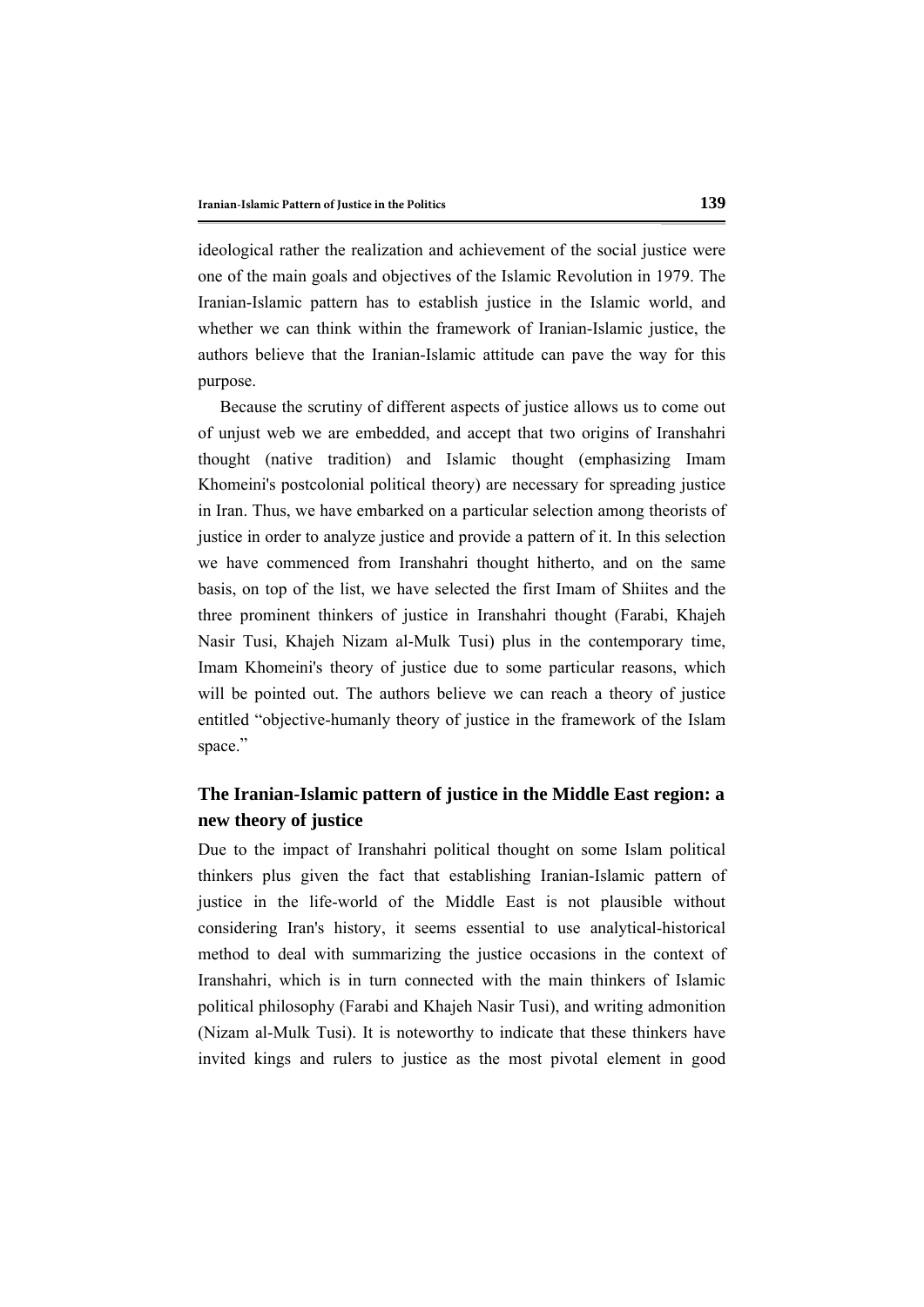ideological rather the realization and achievement of the social justice were one of the main goals and objectives of the Islamic Revolution in 1979. The Iranian-Islamic pattern has to establish justice in the Islamic world, and whether we can think within the framework of Iranian-Islamic justice, the authors believe that the Iranian-Islamic attitude can pave the way for this purpose.

Because the scrutiny of different aspects of justice allows us to come out of unjust web we are embedded, and accept that two origins of Iranshahri thought (native tradition) and Islamic thought (emphasizing Imam Khomeini's postcolonial political theory) are necessary for spreading justice in Iran. Thus, we have embarked on a particular selection among theorists of justice in order to analyze justice and provide a pattern of it. In this selection we have commenced from Iranshahri thought hitherto, and on the same basis, on top of the list, we have selected the first Imam of Shiites and the three prominent thinkers of justice in Iranshahri thought (Farabi, Khajeh Nasir Tusi, Khajeh Nizam al-Mulk Tusi) plus in the contemporary time, Imam Khomeini's theory of justice due to some particular reasons, which will be pointed out. The authors believe we can reach a theory of justice entitled "objective-humanly theory of justice in the framework of the Islam space."

## **The Iranian-Islamic pattern of justice in the Middle East region: a new theory of justice**

Due to the impact of Iranshahri political thought on some Islam political thinkers plus given the fact that establishing Iranian-Islamic pattern of justice in the life-world of the Middle East is not plausible without considering Iran's history, it seems essential to use analytical-historical method to deal with summarizing the justice occasions in the context of Iranshahri, which is in turn connected with the main thinkers of Islamic political philosophy (Farabi and Khajeh Nasir Tusi), and writing admonition (Nizam al-Mulk Tusi). It is noteworthy to indicate that these thinkers have invited kings and rulers to justice as the most pivotal element in good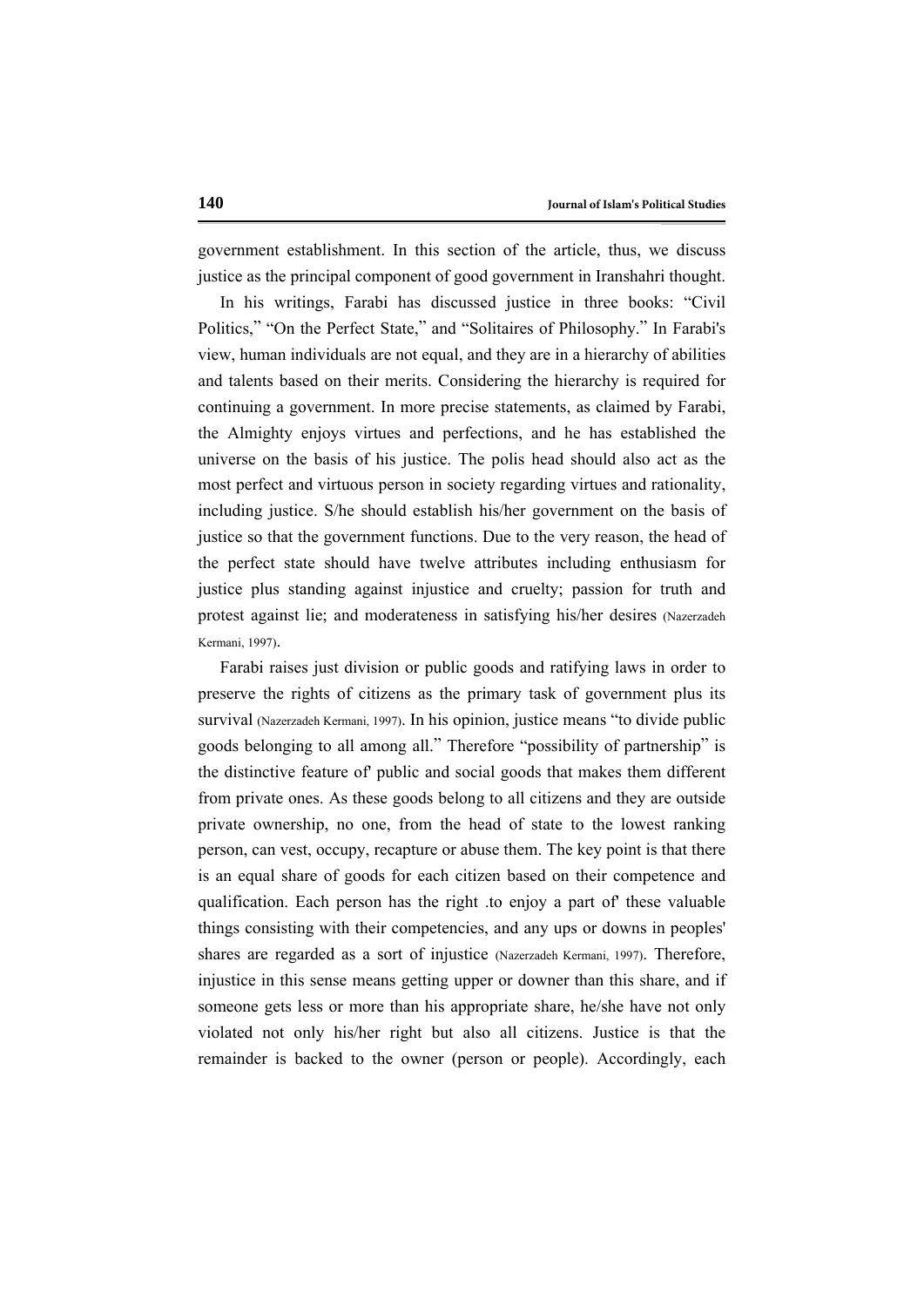government establishment. In this section of the article, thus, we discuss justice as the principal component of good government in Iranshahri thought.

In his writings, Farabi has discussed justice in three books: "Civil Politics," "On the Perfect State," and "Solitaires of Philosophy." In Farabi's view, human individuals are not equal, and they are in a hierarchy of abilities and talents based on their merits. Considering the hierarchy is required for continuing a government. In more precise statements, as claimed by Farabi, the Almighty enjoys virtues and perfections, and he has established the universe on the basis of his justice. The polis head should also act as the most perfect and virtuous person in society regarding virtues and rationality, including justice. S/he should establish his/her government on the basis of justice so that the government functions. Due to the very reason, the head of the perfect state should have twelve attributes including enthusiasm for justice plus standing against injustice and cruelty; passion for truth and protest against lie; and moderateness in satisfying his/her desires (Nazerzadeh Kermani, 1997).

Farabi raises just division or public goods and ratifying laws in order to preserve the rights of citizens as the primary task of government plus its survival (Nazerzadeh Kermani, 1997). In his opinion, justice means "to divide public goods belonging to all among all." Therefore "possibility of partnership" is the distinctive feature of' public and social goods that makes them different from private ones. As these goods belong to all citizens and they are outside private ownership, no one, from the head of state to the lowest ranking person, can vest, occupy, recapture or abuse them. The key point is that there is an equal share of goods for each citizen based on their competence and qualification. Each person has the right .to enjoy a part of' these valuable things consisting with their competencies, and any ups or downs in peoples' shares are regarded as a sort of injustice (Nazerzadeh Kermani, 1997). Therefore, injustice in this sense means getting upper or downer than this share, and if someone gets less or more than his appropriate share, he/she have not only violated not only his/her right but also all citizens. Justice is that the remainder is backed to the owner (person or people). Accordingly, each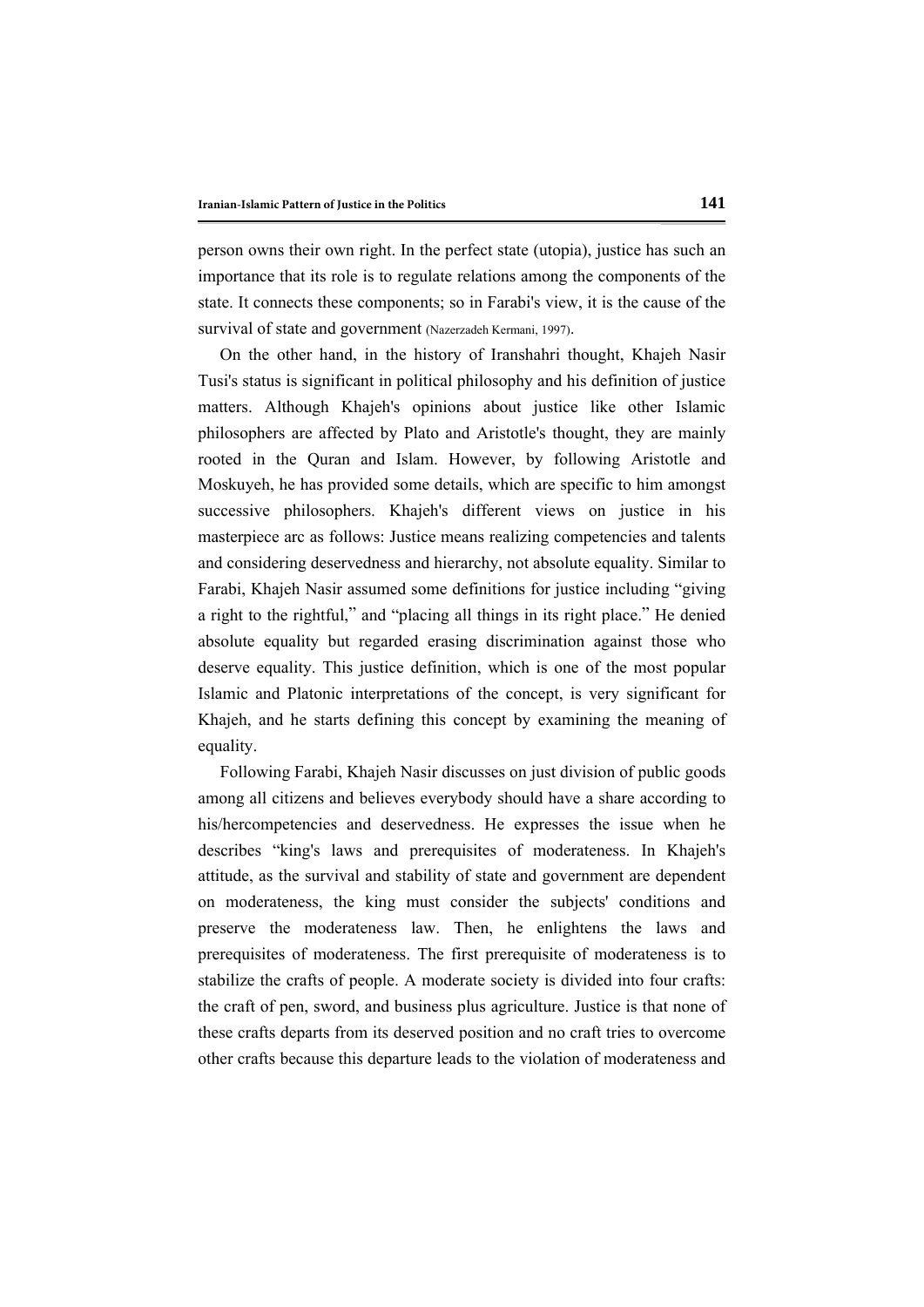person owns their own right. In the perfect state (utopia), justice has such an importance that its role is to regulate relations among the components of the state. It connects these components; so in Farabi's view, it is the cause of the survival of state and government (Nazerzadeh Kermani, 1997).

On the other hand, in the history of Iranshahri thought, Khajeh Nasir Tusi's status is significant in political philosophy and his definition of justice matters. Although Khajeh's opinions about justice like other Islamic philosophers are affected by Plato and Aristotle's thought, they are mainly rooted in the Quran and Islam. However, by following Aristotle and Moskuyeh, he has provided some details, which are specific to him amongst successive philosophers. Khajeh's different views on justice in his masterpiece arc as follows: Justice means realizing competencies and talents and considering deservedness and hierarchy, not absolute equality. Similar to Farabi, Khajeh Nasir assumed some definitions for justice including "giving a right to the rightful," and "placing all things in its right place." He denied absolute equality but regarded erasing discrimination against those who deserve equality. This justice definition, which is one of the most popular Islamic and Platonic interpretations of the concept, is very significant for Khajeh, and he starts defining this concept by examining the meaning of equality.

Following Farabi, Khajeh Nasir discusses on just division of public goods among all citizens and believes everybody should have a share according to his/hercompetencies and deservedness. He expresses the issue when he describes "king's laws and prerequisites of moderateness. In Khajeh's attitude, as the survival and stability of state and government are dependent on moderateness, the king must consider the subjects' conditions and preserve the moderateness law. Then, he enlightens the laws and prerequisites of moderateness. The first prerequisite of moderateness is to stabilize the crafts of people. A moderate society is divided into four crafts: the craft of pen, sword, and business plus agriculture. Justice is that none of these crafts departs from its deserved position and no craft tries to overcome other crafts because this departure leads to the violation of moderateness and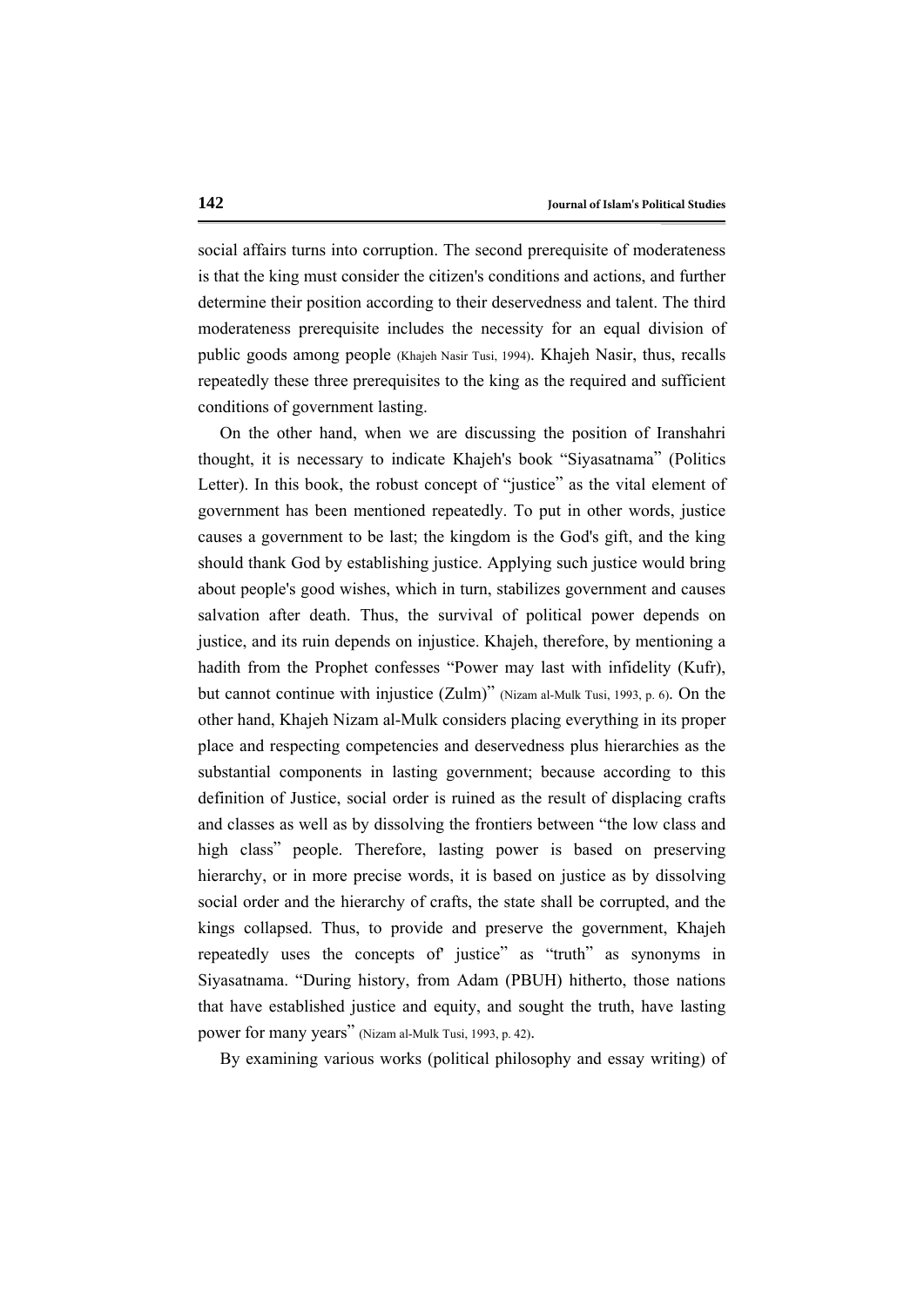social affairs turns into corruption. The second prerequisite of moderateness is that the king must consider the citizen's conditions and actions, and further determine their position according to their deservedness and talent. The third moderateness prerequisite includes the necessity for an equal division of public goods among people (Khajeh Nasir Tusi, 1994). Khajeh Nasir, thus, recalls repeatedly these three prerequisites to the king as the required and sufficient conditions of government lasting.

On the other hand, when we are discussing the position of Iranshahri thought, it is necessary to indicate Khajeh's book "Siyasatnama" (Politics Letter). In this book, the robust concept of "justice" as the vital element of government has been mentioned repeatedly. To put in other words, justice causes a government to be last; the kingdom is the God's gift, and the king should thank God by establishing justice. Applying such justice would bring about people's good wishes, which in turn, stabilizes government and causes salvation after death. Thus, the survival of political power depends on justice, and its ruin depends on injustice. Khajeh, therefore, by mentioning a hadith from the Prophet confesses "Power may last with infidelity (Kufr), but cannot continue with injustice (Zulm)" (Nizam al-Mulk Tusi, 1993, p. 6). On the other hand, Khajeh Nizam al-Mulk considers placing everything in its proper place and respecting competencies and deservedness plus hierarchies as the substantial components in lasting government; because according to this definition of Justice, social order is ruined as the result of displacing crafts and classes as well as by dissolving the frontiers between "the low class and high class" people. Therefore, lasting power is based on preserving hierarchy, or in more precise words, it is based on justice as by dissolving social order and the hierarchy of crafts, the state shall be corrupted, and the kings collapsed. Thus, to provide and preserve the government, Khajeh repeatedly uses the concepts of' justice" as "truth" as synonyms in Siyasatnama. "During history, from Adam (PBUH) hitherto, those nations that have established justice and equity, and sought the truth, have lasting power for many years" (Nizam al-Mulk Tusi, 1993, p. 42).

By examining various works (political philosophy and essay writing) of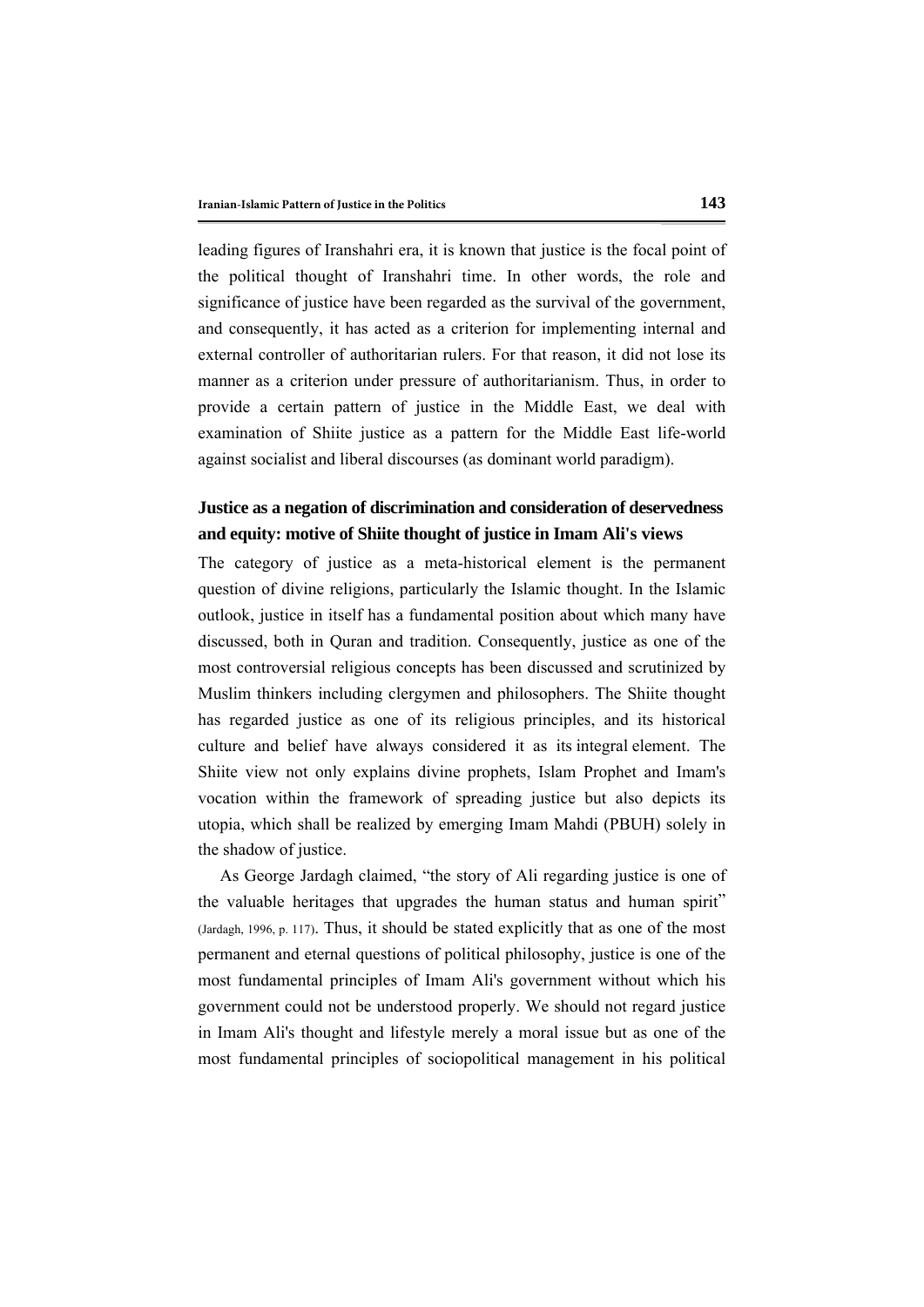leading figures of Iranshahri era, it is known that justice is the focal point of the political thought of Iranshahri time. In other words, the role and significance of justice have been regarded as the survival of the government, and consequently, it has acted as a criterion for implementing internal and external controller of authoritarian rulers. For that reason, it did not lose its manner as a criterion under pressure of authoritarianism. Thus, in order to provide a certain pattern of justice in the Middle East, we deal with examination of Shiite justice as a pattern for the Middle East life-world against socialist and liberal discourses (as dominant world paradigm).

## **Justice as a negation of discrimination and consideration of deservedness and equity: motive of Shiite thought of justice in Imam Ali's views**

The category of justice as a meta-historical element is the permanent question of divine religions, particularly the Islamic thought. In the Islamic outlook, justice in itself has a fundamental position about which many have discussed, both in Quran and tradition. Consequently, justice as one of the most controversial religious concepts has been discussed and scrutinized by Muslim thinkers including clergymen and philosophers. The Shiite thought has regarded justice as one of its religious principles, and its historical culture and belief have always considered it as its integral element. The Shiite view not only explains divine prophets, Islam Prophet and Imam's vocation within the framework of spreading justice but also depicts its utopia, which shall be realized by emerging Imam Mahdi (PBUH) solely in the shadow of justice.

As George Jardagh claimed, "the story of Ali regarding justice is one of the valuable heritages that upgrades the human status and human spirit" (Jardagh, 1996, p. 117). Thus, it should be stated explicitly that as one of the most permanent and eternal questions of political philosophy, justice is one of the most fundamental principles of Imam Ali's government without which his government could not be understood properly. We should not regard justice in Imam Ali's thought and lifestyle merely a moral issue but as one of the most fundamental principles of sociopolitical management in his political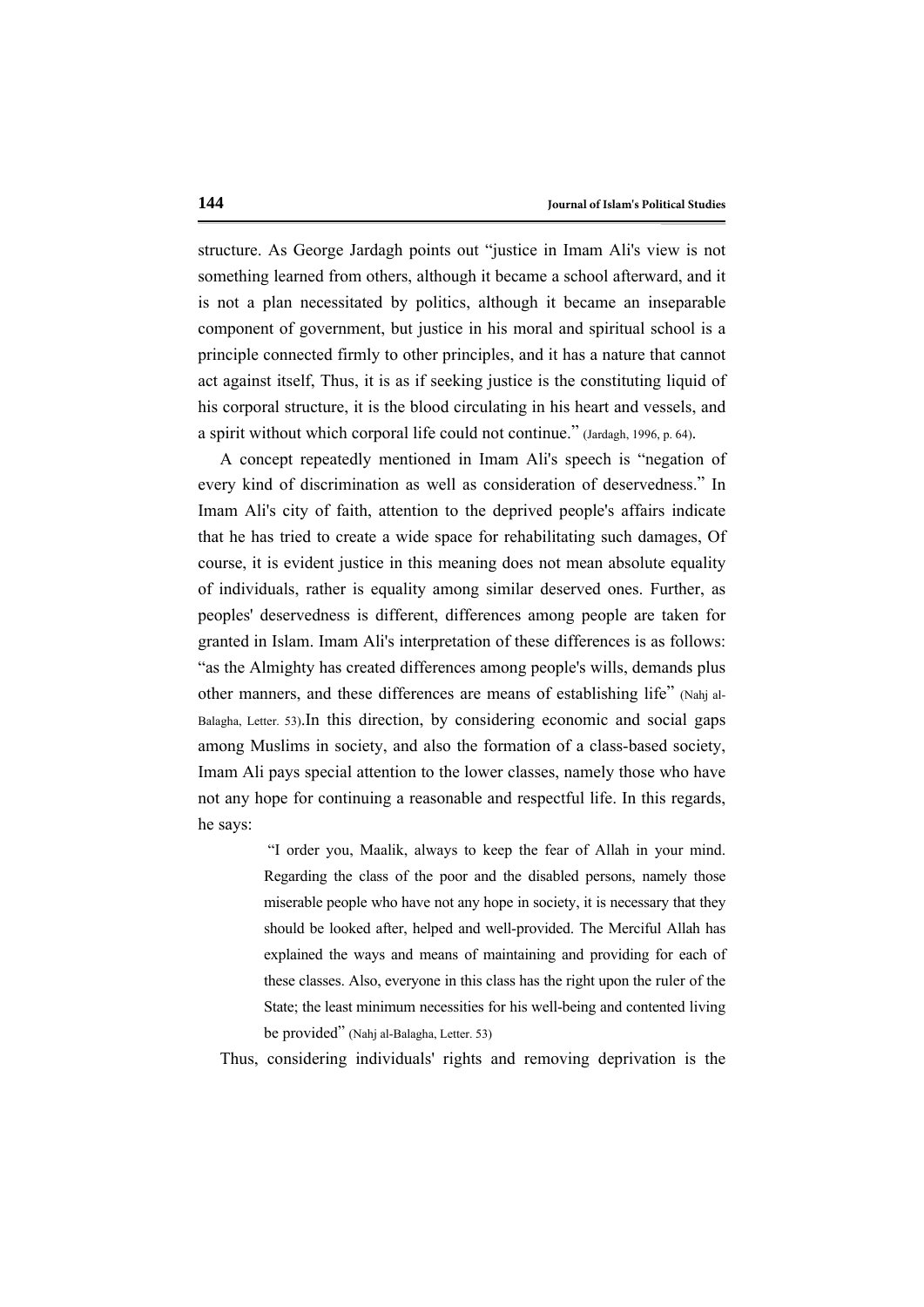structure. As George Jardagh points out "justice in Imam Ali's view is not something learned from others, although it became a school afterward, and it is not a plan necessitated by politics, although it became an inseparable component of government, but justice in his moral and spiritual school is a principle connected firmly to other principles, and it has a nature that cannot act against itself, Thus, it is as if seeking justice is the constituting liquid of his corporal structure, it is the blood circulating in his heart and vessels, and a spirit without which corporal life could not continue." (Jardagh, 1996, p. 64).

A concept repeatedly mentioned in Imam Ali's speech is "negation of every kind of discrimination as well as consideration of deservedness." In Imam Ali's city of faith, attention to the deprived people's affairs indicate that he has tried to create a wide space for rehabilitating such damages, Of course, it is evident justice in this meaning does not mean absolute equality of individuals, rather is equality among similar deserved ones. Further, as peoples' deservedness is different, differences among people are taken for granted in Islam. Imam Ali's interpretation of these differences is as follows: "as the Almighty has created differences among people's wills, demands plus other manners, and these differences are means of establishing life" (Nahj al-Balagha, Letter. 53).In this direction, by considering economic and social gaps among Muslims in society, and also the formation of a class-based society, Imam Ali pays special attention to the lower classes, namely those who have not any hope for continuing a reasonable and respectful life. In this regards, he says:

> "I order you, Maalik, always to keep the fear of Allah in your mind. Regarding the class of the poor and the disabled persons, namely those miserable people who have not any hope in society, it is necessary that they should be looked after, helped and well-provided. The Merciful Allah has explained the ways and means of maintaining and providing for each of these classes. Also, everyone in this class has the right upon the ruler of the State; the least minimum necessities for his well-being and contented living be provided" (Nahj al-Balagha, Letter. 53)

Thus, considering individuals' rights and removing deprivation is the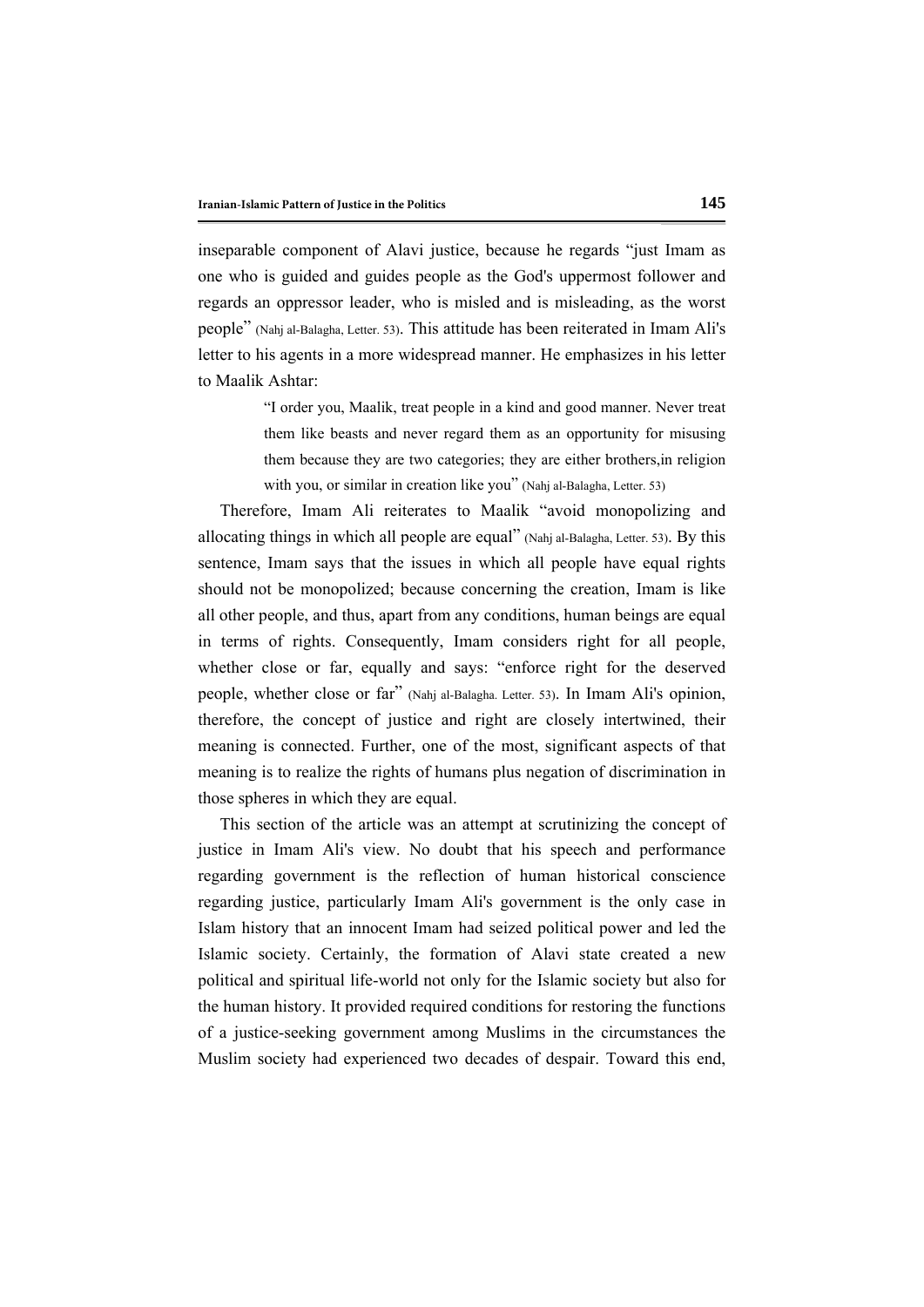inseparable component of Alavi justice, because he regards "just Imam as one who is guided and guides people as the God's uppermost follower and regards an oppressor leader, who is misled and is misleading, as the worst people" (Nahj al-Balagha, Letter. 53). This attitude has been reiterated in Imam Ali's letter to his agents in a more widespread manner. He emphasizes in his letter to Maalik Ashtar:

> "I order you, Maalik, treat people in a kind and good manner. Never treat them like beasts and never regard them as an opportunity for misusing them because they are two categories; they are either brothers,in religion with you, or similar in creation like you" (Nahj al-Balagha, Letter. 53)

Therefore, Imam Ali reiterates to Maalik "avoid monopolizing and allocating things in which all people are equal" (Nahj al-Balagha, Letter. 53). By this sentence, Imam says that the issues in which all people have equal rights should not be monopolized; because concerning the creation, Imam is like all other people, and thus, apart from any conditions, human beings are equal in terms of rights. Consequently, Imam considers right for all people, whether close or far, equally and says: "enforce right for the deserved people, whether close or far" (Nahj al-Balagha. Letter. 53). In Imam Ali's opinion, therefore, the concept of justice and right are closely intertwined, their meaning is connected. Further, one of the most, significant aspects of that meaning is to realize the rights of humans plus negation of discrimination in those spheres in which they are equal.

This section of the article was an attempt at scrutinizing the concept of justice in Imam Ali's view. No doubt that his speech and performance regarding government is the reflection of human historical conscience regarding justice, particularly Imam Ali's government is the only case in Islam history that an innocent Imam had seized political power and led the Islamic society. Certainly, the formation of Alavi state created a new political and spiritual life-world not only for the Islamic society but also for the human history. It provided required conditions for restoring the functions of a justice-seeking government among Muslims in the circumstances the Muslim society had experienced two decades of despair. Toward this end,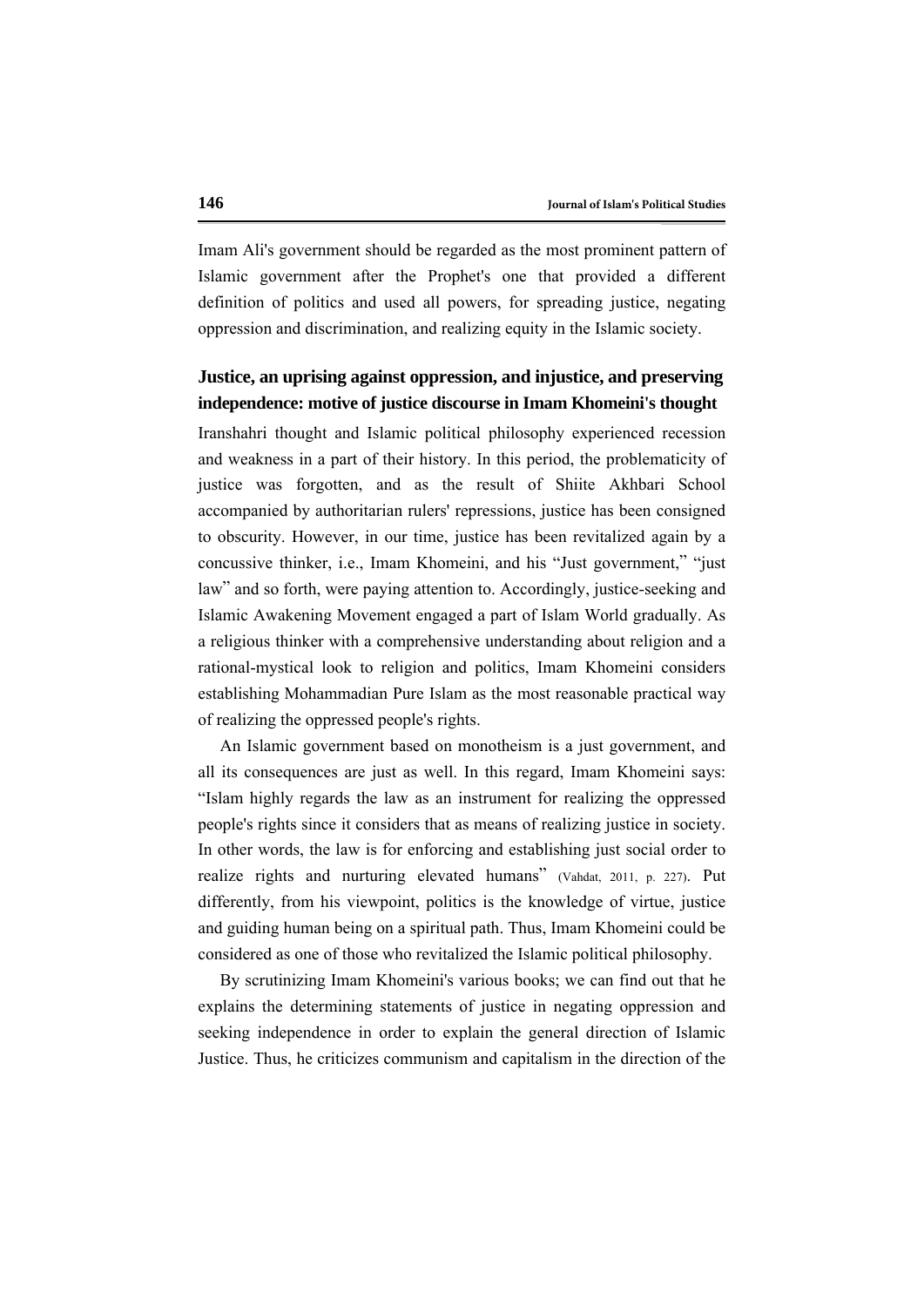Imam Ali's government should be regarded as the most prominent pattern of Islamic government after the Prophet's one that provided a different definition of politics and used all powers, for spreading justice, negating oppression and discrimination, and realizing equity in the Islamic society.

## **Justice, an uprising against oppression, and injustice, and preserving independence: motive of justice discourse in Imam Khomeini's thought**

Iranshahri thought and Islamic political philosophy experienced recession and weakness in a part of their history. In this period, the problematicity of justice was forgotten, and as the result of Shiite Akhbari School accompanied by authoritarian rulers' repressions, justice has been consigned to obscurity. However, in our time, justice has been revitalized again by a concussive thinker, i.e., Imam Khomeini, and his "Just government," "just law" and so forth, were paying attention to. Accordingly, justice-seeking and Islamic Awakening Movement engaged a part of Islam World gradually. As a religious thinker with a comprehensive understanding about religion and a rational-mystical look to religion and politics, Imam Khomeini considers establishing Mohammadian Pure Islam as the most reasonable practical way of realizing the oppressed people's rights.

An Islamic government based on monotheism is a just government, and all its consequences are just as well. In this regard, Imam Khomeini says: "Islam highly regards the law as an instrument for realizing the oppressed people's rights since it considers that as means of realizing justice in society. In other words, the law is for enforcing and establishing just social order to realize rights and nurturing elevated humans" (Vahdat, 2011, p. 227). Put differently, from his viewpoint, politics is the knowledge of virtue, justice and guiding human being on a spiritual path. Thus, Imam Khomeini could be considered as one of those who revitalized the Islamic political philosophy.

By scrutinizing Imam Khomeini's various books; we can find out that he explains the determining statements of justice in negating oppression and seeking independence in order to explain the general direction of Islamic Justice. Thus, he criticizes communism and capitalism in the direction of the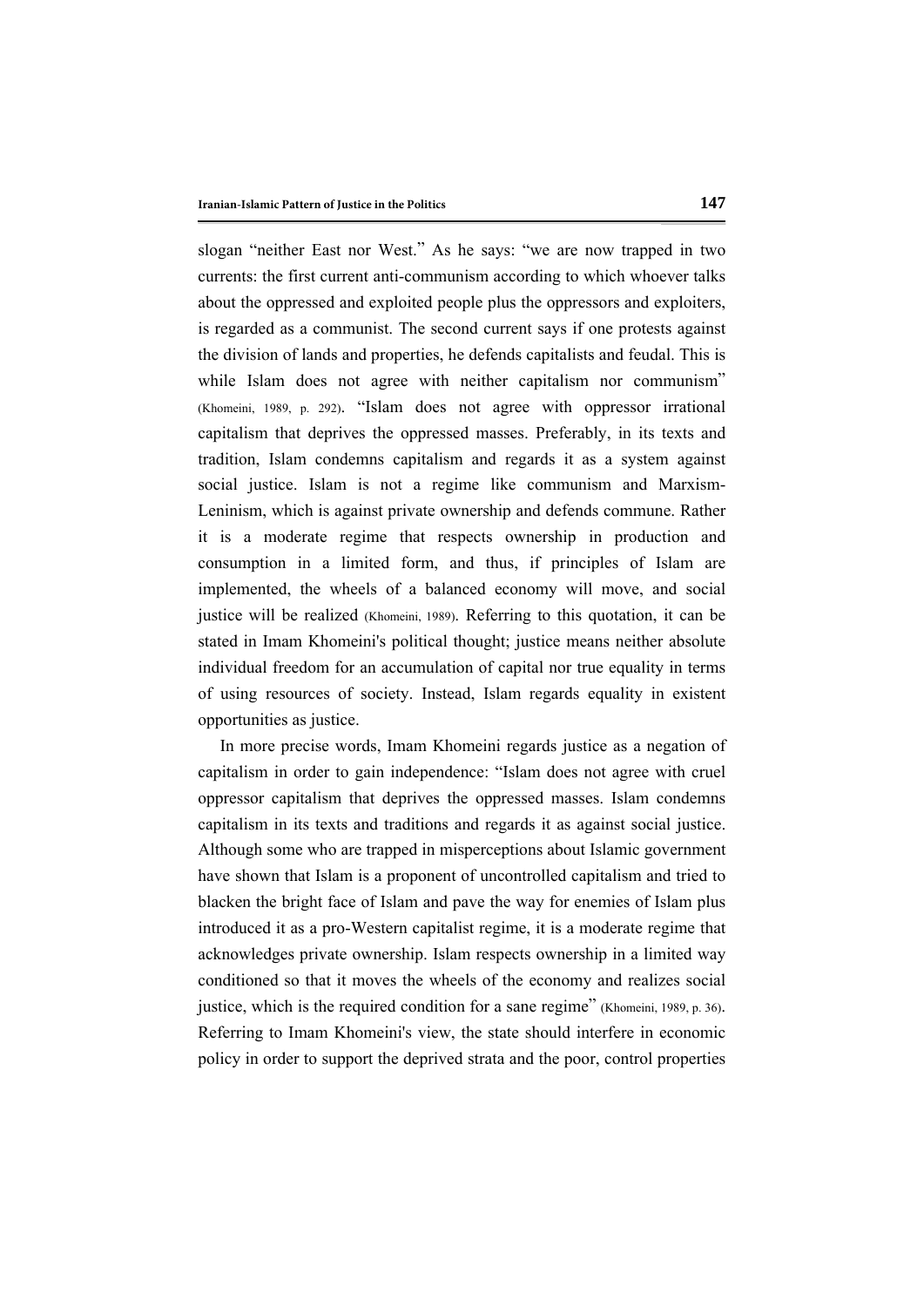slogan "neither East nor West." As he says: "we are now trapped in two currents: the first current anti-communism according to which whoever talks about the oppressed and exploited people plus the oppressors and exploiters, is regarded as a communist. The second current says if one protests against the division of lands and properties, he defends capitalists and feudal. This is while Islam does not agree with neither capitalism nor communism" (Khomeini, 1989, p. 292). "Islam does not agree with oppressor irrational capitalism that deprives the oppressed masses. Preferably, in its texts and tradition, Islam condemns capitalism and regards it as a system against social justice. Islam is not a regime like communism and Marxism-Leninism, which is against private ownership and defends commune. Rather it is a moderate regime that respects ownership in production and consumption in a limited form, and thus, if principles of Islam are implemented, the wheels of a balanced economy will move, and social justice will be realized (Khomeini, 1989). Referring to this quotation, it can be stated in Imam Khomeini's political thought; justice means neither absolute individual freedom for an accumulation of capital nor true equality in terms of using resources of society. Instead, Islam regards equality in existent opportunities as justice.

In more precise words, Imam Khomeini regards justice as a negation of capitalism in order to gain independence: "Islam does not agree with cruel oppressor capitalism that deprives the oppressed masses. Islam condemns capitalism in its texts and traditions and regards it as against social justice. Although some who are trapped in misperceptions about Islamic government have shown that Islam is a proponent of uncontrolled capitalism and tried to blacken the bright face of Islam and pave the way for enemies of Islam plus introduced it as a pro-Western capitalist regime, it is a moderate regime that acknowledges private ownership. Islam respects ownership in a limited way conditioned so that it moves the wheels of the economy and realizes social justice, which is the required condition for a sane regime" (Khomeini, 1989, p. 36). Referring to Imam Khomeini's view, the state should interfere in economic policy in order to support the deprived strata and the poor, control properties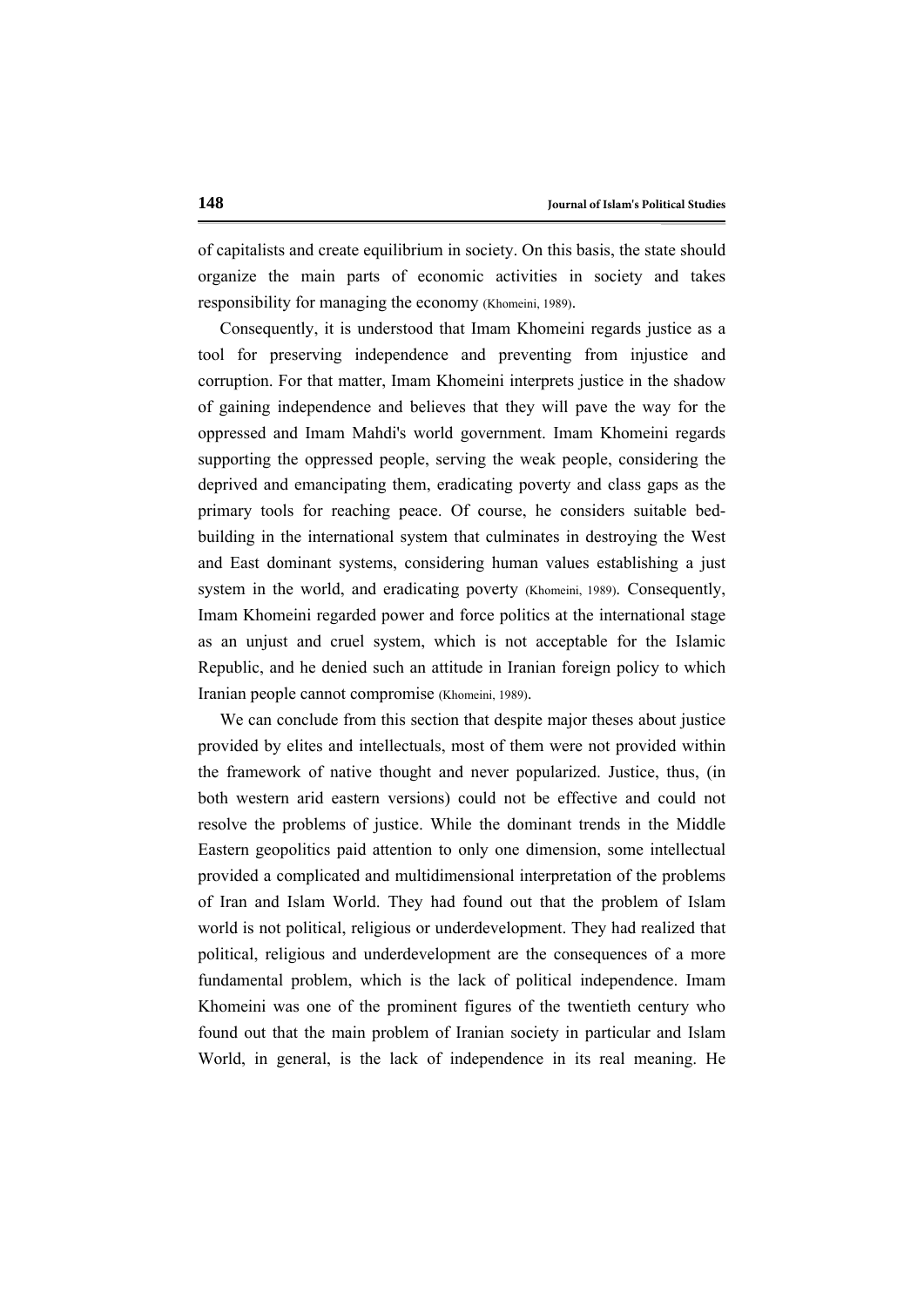of capitalists and create equilibrium in society. On this basis, the state should organize the main parts of economic activities in society and takes responsibility for managing the economy (Khomeini, 1989).

Consequently, it is understood that Imam Khomeini regards justice as a tool for preserving independence and preventing from injustice and corruption. For that matter, Imam Khomeini interprets justice in the shadow of gaining independence and believes that they will pave the way for the oppressed and Imam Mahdi's world government. Imam Khomeini regards supporting the oppressed people, serving the weak people, considering the deprived and emancipating them, eradicating poverty and class gaps as the primary tools for reaching peace. Of course, he considers suitable bedbuilding in the international system that culminates in destroying the West and East dominant systems, considering human values establishing a just system in the world, and eradicating poverty (Khomeini, 1989). Consequently, Imam Khomeini regarded power and force politics at the international stage as an unjust and cruel system, which is not acceptable for the Islamic Republic, and he denied such an attitude in Iranian foreign policy to which Iranian people cannot compromise (Khomeini, 1989).

We can conclude from this section that despite major theses about justice provided by elites and intellectuals, most of them were not provided within the framework of native thought and never popularized. Justice, thus, (in both western arid eastern versions) could not be effective and could not resolve the problems of justice. While the dominant trends in the Middle Eastern geopolitics paid attention to only one dimension, some intellectual provided a complicated and multidimensional interpretation of the problems of Iran and Islam World. They had found out that the problem of Islam world is not political, religious or underdevelopment. They had realized that political, religious and underdevelopment are the consequences of a more fundamental problem, which is the lack of political independence. Imam Khomeini was one of the prominent figures of the twentieth century who found out that the main problem of Iranian society in particular and Islam World, in general, is the lack of independence in its real meaning. He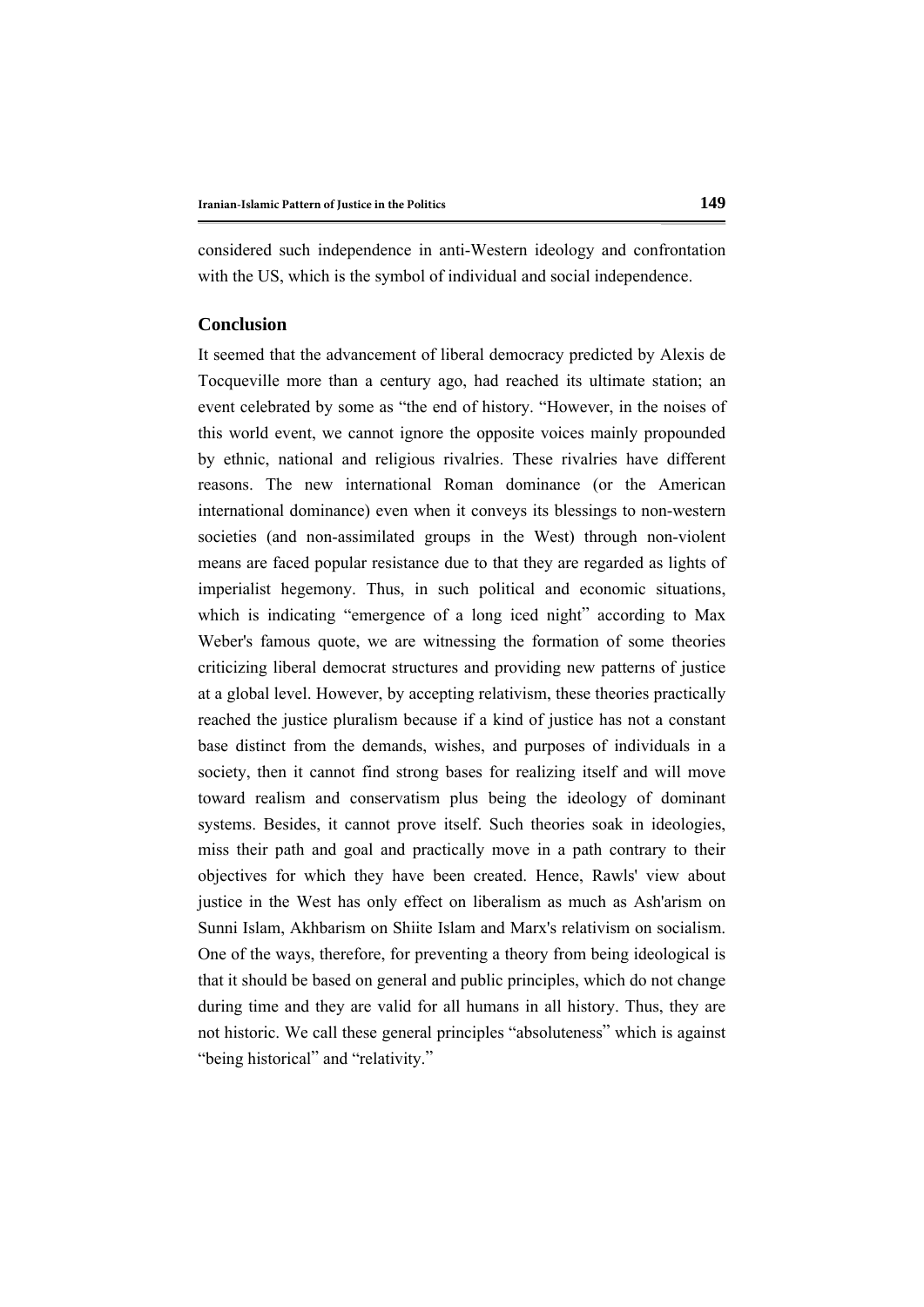considered such independence in anti-Western ideology and confrontation with the US, which is the symbol of individual and social independence.

### **Conclusion**

It seemed that the advancement of liberal democracy predicted by Alexis de Tocqueville more than a century ago, had reached its ultimate station; an event celebrated by some as "the end of history. "However, in the noises of this world event, we cannot ignore the opposite voices mainly propounded by ethnic, national and religious rivalries. These rivalries have different reasons. The new international Roman dominance (or the American international dominance) even when it conveys its blessings to non-western societies (and non-assimilated groups in the West) through non-violent means are faced popular resistance due to that they are regarded as lights of imperialist hegemony. Thus, in such political and economic situations, which is indicating "emergence of a long iced night" according to Max Weber's famous quote, we are witnessing the formation of some theories criticizing liberal democrat structures and providing new patterns of justice at a global level. However, by accepting relativism, these theories practically reached the justice pluralism because if a kind of justice has not a constant base distinct from the demands, wishes, and purposes of individuals in a society, then it cannot find strong bases for realizing itself and will move toward realism and conservatism plus being the ideology of dominant systems. Besides, it cannot prove itself. Such theories soak in ideologies, miss their path and goal and practically move in a path contrary to their objectives for which they have been created. Hence, Rawls' view about justice in the West has only effect on liberalism as much as Ash'arism on Sunni Islam, Akhbarism on Shiite Islam and Marx's relativism on socialism. One of the ways, therefore, for preventing a theory from being ideological is that it should be based on general and public principles, which do not change during time and they are valid for all humans in all history. Thus, they are not historic. We call these general principles "absoluteness" which is against "being historical" and "relativity."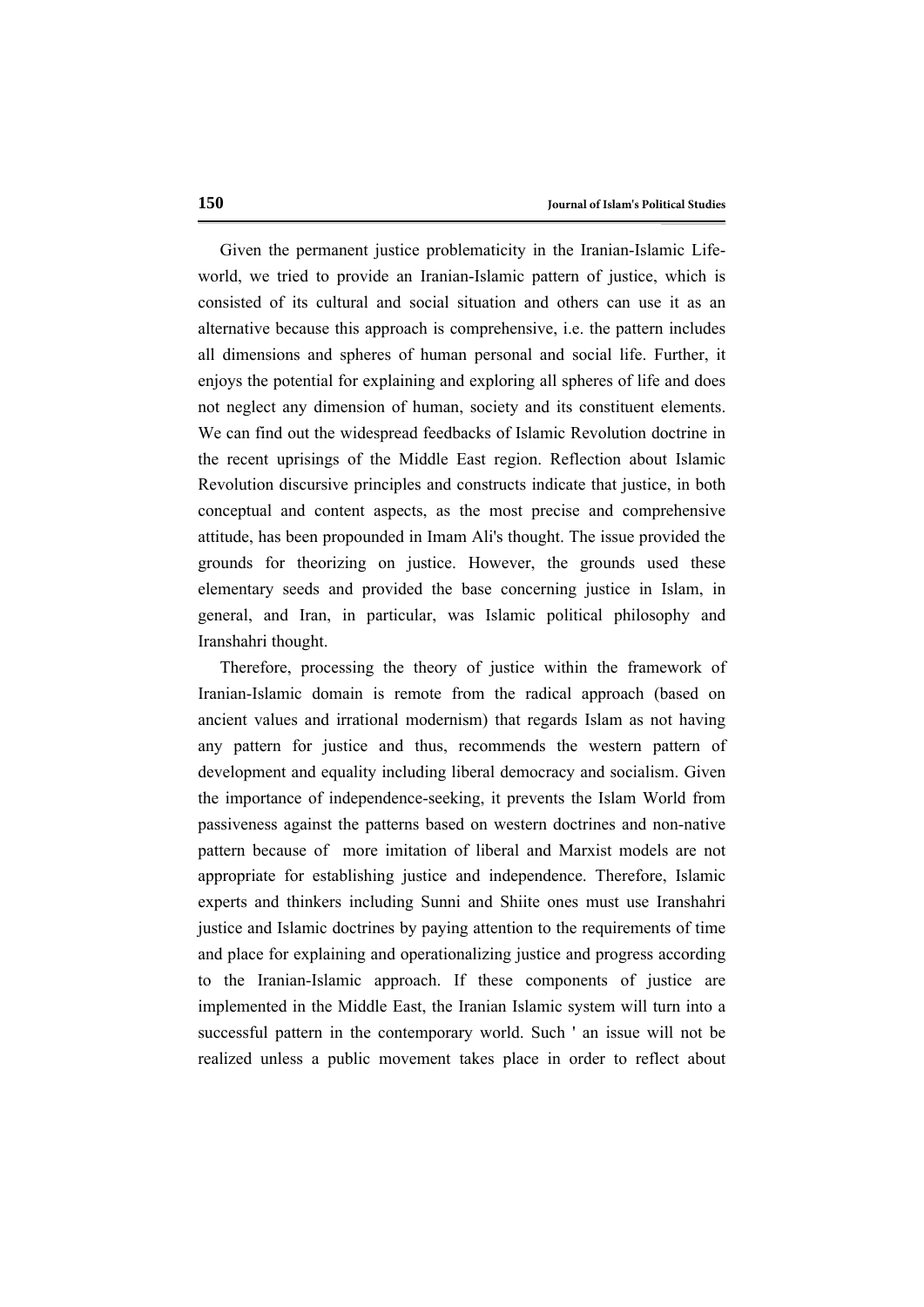Given the permanent justice problematicity in the Iranian-Islamic Lifeworld, we tried to provide an Iranian-Islamic pattern of justice, which is consisted of its cultural and social situation and others can use it as an alternative because this approach is comprehensive, i.e. the pattern includes all dimensions and spheres of human personal and social life. Further, it enjoys the potential for explaining and exploring all spheres of life and does not neglect any dimension of human, society and its constituent elements. We can find out the widespread feedbacks of Islamic Revolution doctrine in the recent uprisings of the Middle East region. Reflection about Islamic Revolution discursive principles and constructs indicate that justice, in both conceptual and content aspects, as the most precise and comprehensive attitude, has been propounded in Imam Ali's thought. The issue provided the grounds for theorizing on justice. However, the grounds used these elementary seeds and provided the base concerning justice in Islam, in general, and Iran, in particular, was Islamic political philosophy and Iranshahri thought.

Therefore, processing the theory of justice within the framework of Iranian-Islamic domain is remote from the radical approach (based on ancient values and irrational modernism) that regards Islam as not having any pattern for justice and thus, recommends the western pattern of development and equality including liberal democracy and socialism. Given the importance of independence-seeking, it prevents the Islam World from passiveness against the patterns based on western doctrines and non-native pattern because of more imitation of liberal and Marxist models are not appropriate for establishing justice and independence. Therefore, Islamic experts and thinkers including Sunni and Shiite ones must use Iranshahri justice and Islamic doctrines by paying attention to the requirements of time and place for explaining and operationalizing justice and progress according to the Iranian-Islamic approach. If these components of justice are implemented in the Middle East, the Iranian Islamic system will turn into a successful pattern in the contemporary world. Such ' an issue will not be realized unless a public movement takes place in order to reflect about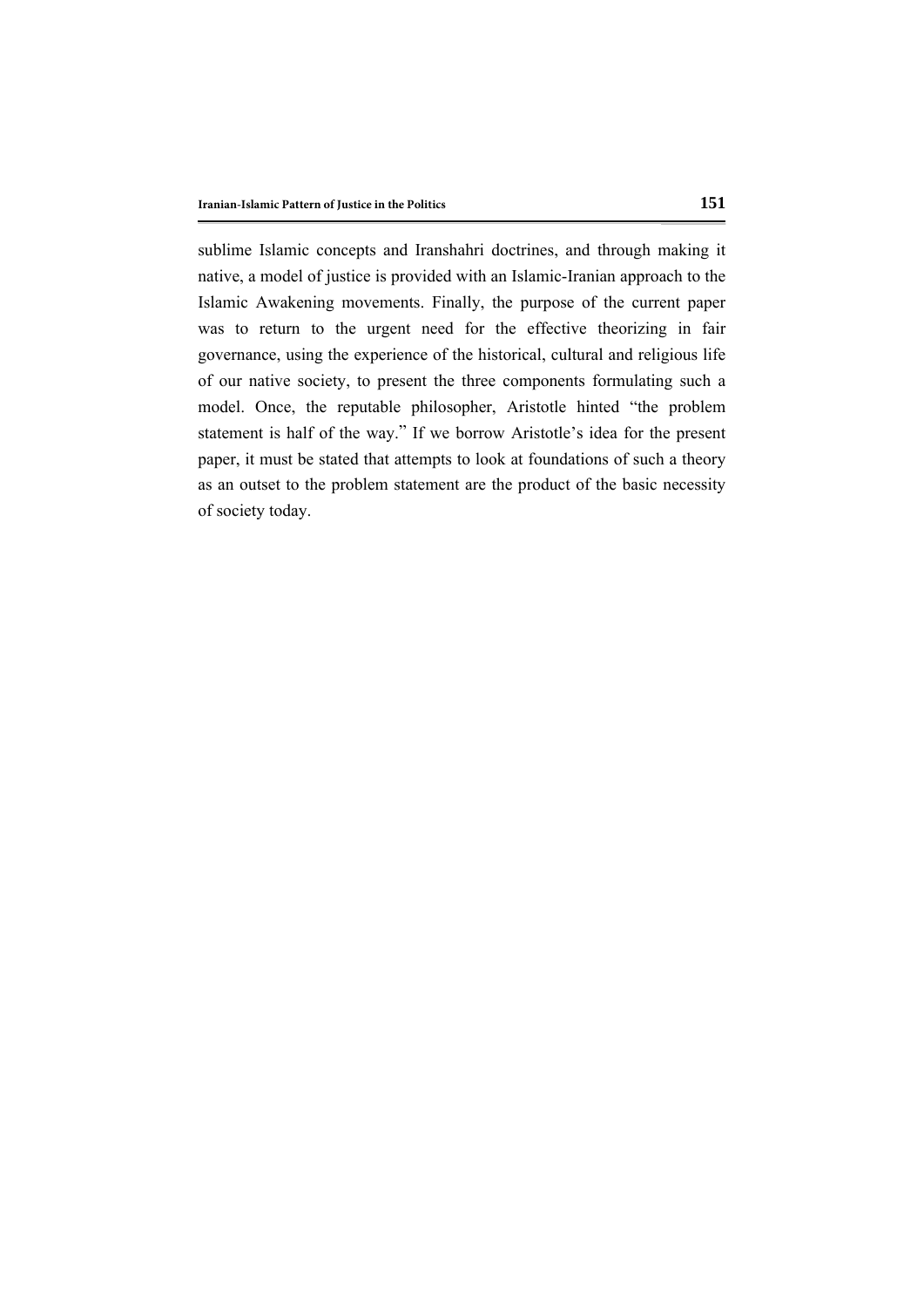sublime Islamic concepts and Iranshahri doctrines, and through making it native, a model of justice is provided with an Islamic-Iranian approach to the Islamic Awakening movements. Finally, the purpose of the current paper was to return to the urgent need for the effective theorizing in fair governance, using the experience of the historical, cultural and religious life of our native society, to present the three components formulating such a model. Once, the reputable philosopher, Aristotle hinted "the problem statement is half of the way." If we borrow Aristotle's idea for the present paper, it must be stated that attempts to look at foundations of such a theory as an outset to the problem statement are the product of the basic necessity of society today.